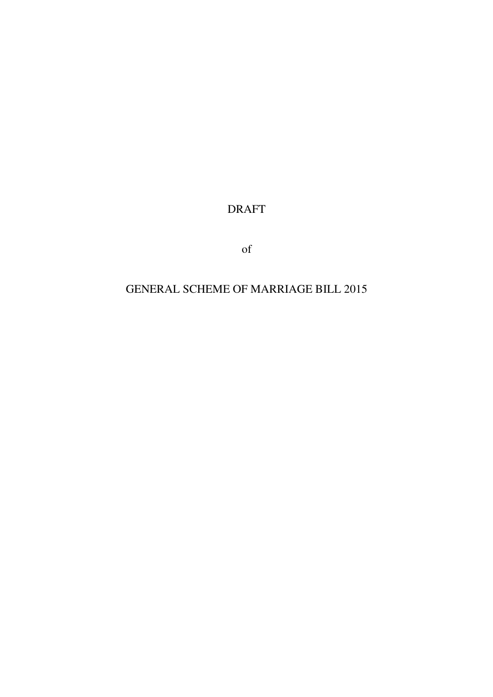DRAFT

of

# GENERAL SCHEME OF MARRIAGE BILL 2015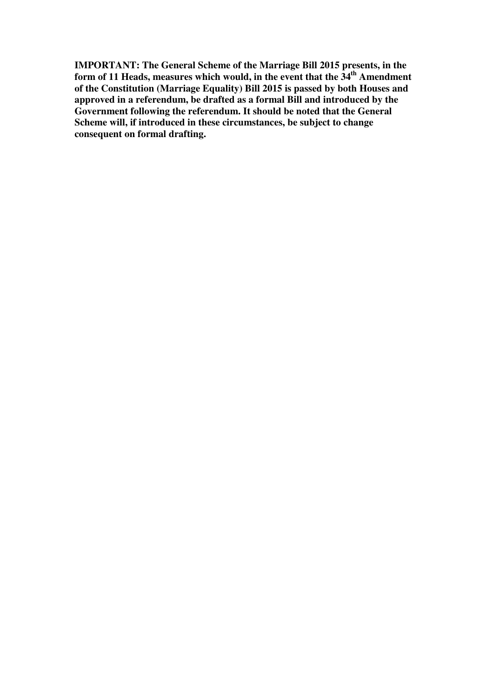**IMPORTANT: The General Scheme of the Marriage Bill 2015 presents, in the form of 11 Heads, measures which would, in the event that the 34th Amendment of the Constitution (Marriage Equality) Bill 2015 is passed by both Houses and approved in a referendum, be drafted as a formal Bill and introduced by the Government following the referendum. It should be noted that the General Scheme will, if introduced in these circumstances, be subject to change consequent on formal drafting.**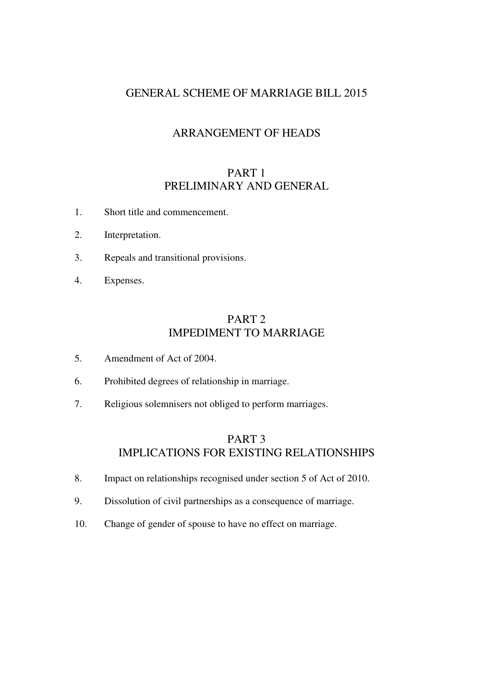## GENERAL SCHEME OF MARRIAGE BILL 2015

## ARRANGEMENT OF HEADS

## PART 1 PRELIMINARY AND GENERAL

- 1. Short title and commencement.
- 2. Interpretation.
- 3. Repeals and transitional provisions.
- 4. Expenses.

## PART 2 IMPEDIMENT TO MARRIAGE

- 5. Amendment of Act of 2004.
- 6. Prohibited degrees of relationship in marriage.
- 7. Religious solemnisers not obliged to perform marriages.

## PART 3 IMPLICATIONS FOR EXISTING RELATIONSHIPS

- 8. Impact on relationships recognised under section 5 of Act of 2010.
- 9. Dissolution of civil partnerships as a consequence of marriage.
- 10. Change of gender of spouse to have no effect on marriage.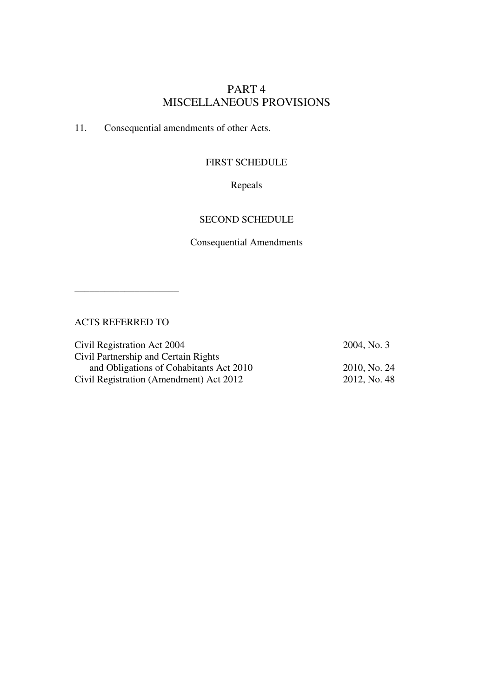## PART 4 MISCELLANEOUS PROVISIONS

11. Consequential amendments of other Acts.

### FIRST SCHEDULE

Repeals

#### SECOND SCHEDULE

Consequential Amendments

ACTS REFERRED TO

\_\_\_\_\_\_\_\_\_\_\_\_\_\_\_\_\_\_\_\_\_

Civil Registration Act 2004 2004, No. 3 Civil Partnership and Certain Rights and Obligations of Cohabitants Act 2010 2010, No. 24 Civil Registration (Amendment) Act 2012 2012, No. 48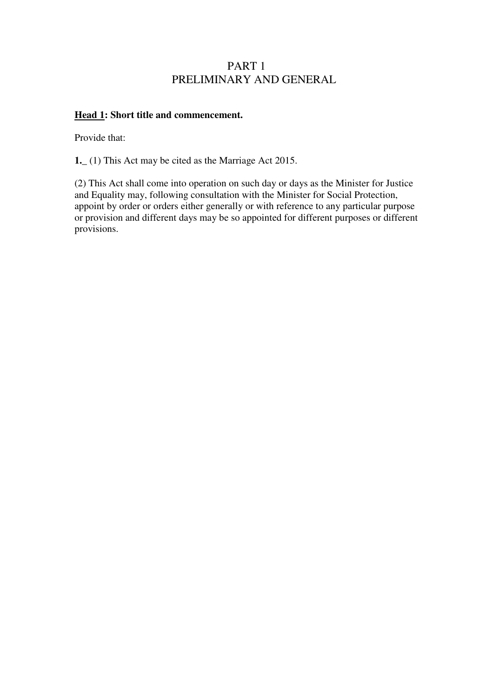## PART 1 PRELIMINARY AND GENERAL

## **Head 1: Short title and commencement.**

Provide that:

**1.\_** (1) This Act may be cited as the Marriage Act 2015.

(2) This Act shall come into operation on such day or days as the Minister for Justice and Equality may, following consultation with the Minister for Social Protection, appoint by order or orders either generally or with reference to any particular purpose or provision and different days may be so appointed for different purposes or different provisions.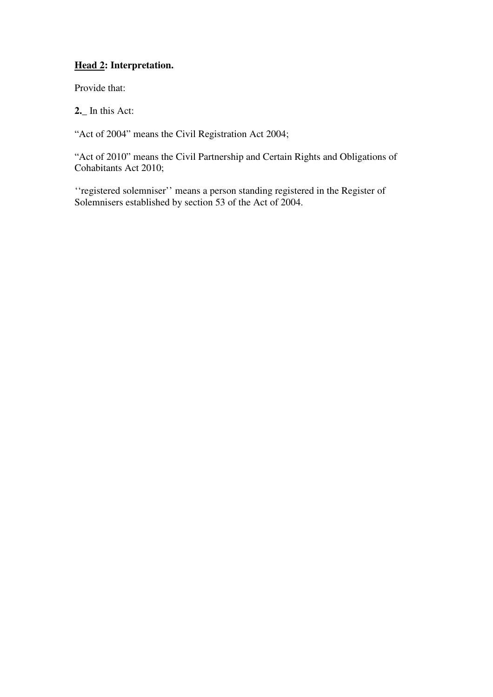## **Head 2: Interpretation.**

Provide that:

**2.\_** In this Act:

"Act of 2004" means the Civil Registration Act 2004;

"Act of 2010" means the Civil Partnership and Certain Rights and Obligations of Cohabitants Act 2010;

''registered solemniser'' means a person standing registered in the Register of Solemnisers established by section 53 of the Act of 2004.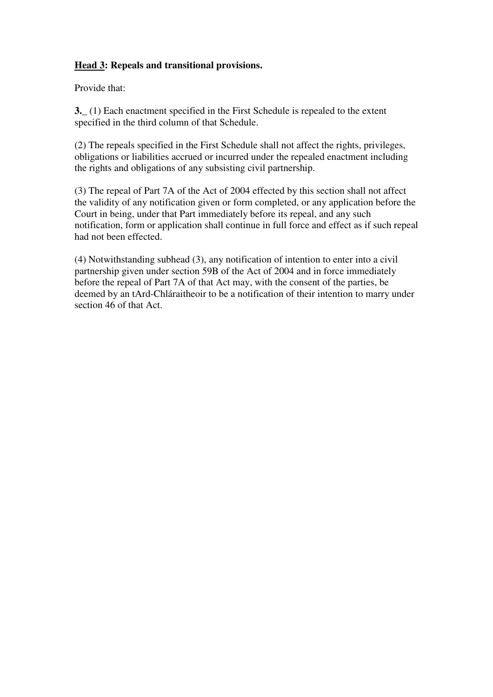## **Head 3: Repeals and transitional provisions.**

Provide that:

**3.\_** (1) Each enactment specified in the First Schedule is repealed to the extent specified in the third column of that Schedule.

(2) The repeals specified in the First Schedule shall not affect the rights, privileges, obligations or liabilities accrued or incurred under the repealed enactment including the rights and obligations of any subsisting civil partnership.

(3) The repeal of Part 7A of the Act of 2004 effected by this section shall not affect the validity of any notification given or form completed, or any application before the Court in being, under that Part immediately before its repeal, and any such notification, form or application shall continue in full force and effect as if such repeal had not been effected.

(4) Notwithstanding subhead (3), any notification of intention to enter into a civil partnership given under section 59B of the Act of 2004 and in force immediately before the repeal of Part 7A of that Act may, with the consent of the parties, be deemed by an tArd-Chláraitheoir to be a notification of their intention to marry under section 46 of that Act.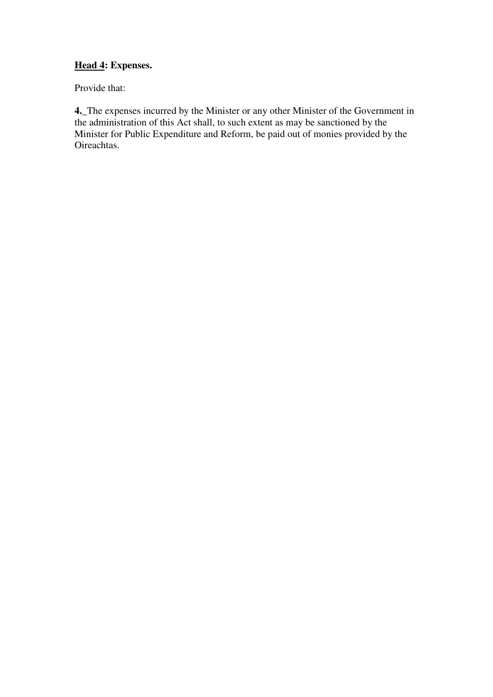## **Head 4: Expenses.**

Provide that:

**4.\_**The expenses incurred by the Minister or any other Minister of the Government in the administration of this Act shall, to such extent as may be sanctioned by the Minister for Public Expenditure and Reform, be paid out of monies provided by the Oireachtas.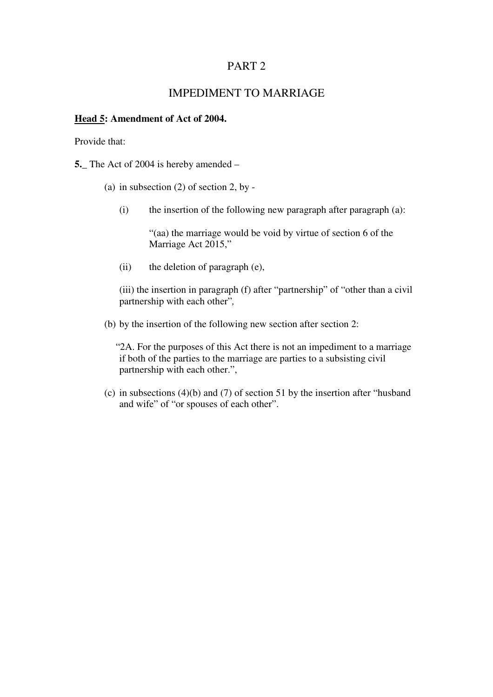## PART 2

## IMPEDIMENT TO MARRIAGE

#### **Head 5: Amendment of Act of 2004.**

Provide that:

**5.\_** The Act of 2004 is hereby amended –

(a) in subsection (2) of section 2, by -

(i) the insertion of the following new paragraph after paragraph (a):

"(aa) the marriage would be void by virtue of section 6 of the Marriage Act 2015,"

(ii) the deletion of paragraph (e),

(iii) the insertion in paragraph (f) after "partnership" of "other than a civil partnership with each other"*,*

(b) by the insertion of the following new section after section 2:

"2A. For the purposes of this Act there is not an impediment to a marriage if both of the parties to the marriage are parties to a subsisting civil partnership with each other.",

(c) in subsections (4)(b) and (7) of section 51 by the insertion after "husband and wife" of "or spouses of each other".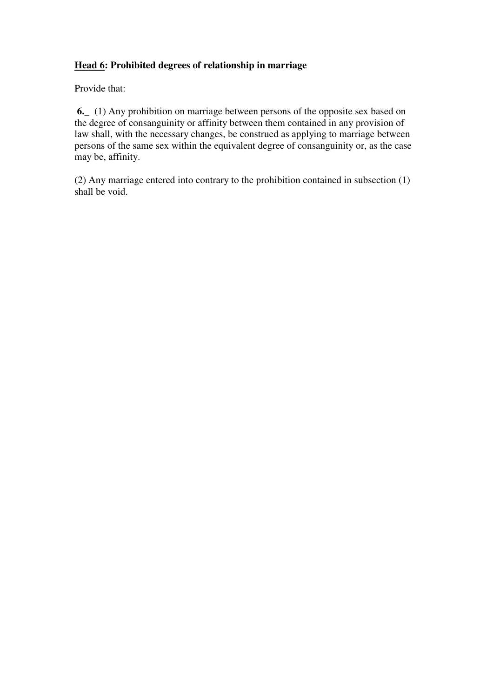## **Head 6: Prohibited degrees of relationship in marriage**

Provide that:

**6.\_** (1) Any prohibition on marriage between persons of the opposite sex based on the degree of consanguinity or affinity between them contained in any provision of law shall, with the necessary changes, be construed as applying to marriage between persons of the same sex within the equivalent degree of consanguinity or, as the case may be, affinity.

(2) Any marriage entered into contrary to the prohibition contained in subsection (1) shall be void.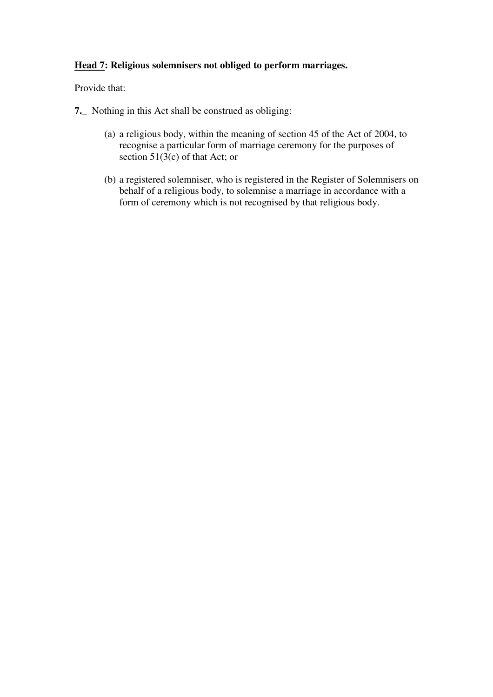## **Head 7: Religious solemnisers not obliged to perform marriages.**

Provide that:

- **7.\_** Nothing in this Act shall be construed as obliging:
	- (a) a religious body, within the meaning of section 45 of the Act of 2004, to recognise a particular form of marriage ceremony for the purposes of section 51(3(c) of that Act; or
	- (b) a registered solemniser, who is registered in the Register of Solemnisers on behalf of a religious body, to solemnise a marriage in accordance with a form of ceremony which is not recognised by that religious body.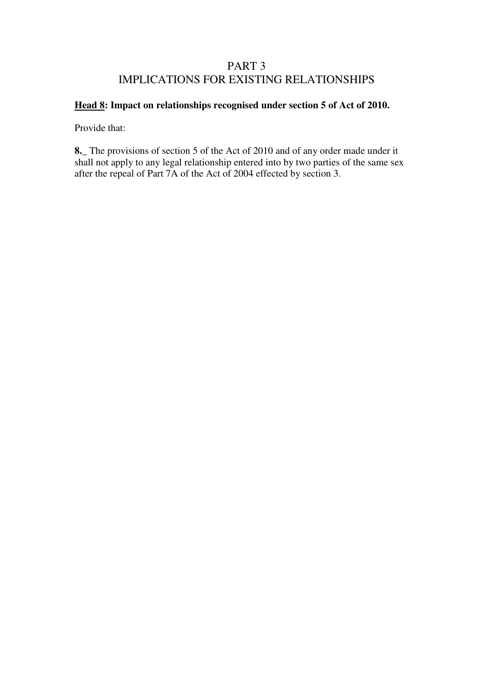## PART 3 IMPLICATIONS FOR EXISTING RELATIONSHIPS

## **Head 8: Impact on relationships recognised under section 5 of Act of 2010.**

Provide that:

**8.\_** The provisions of section 5 of the Act of 2010 and of any order made under it shall not apply to any legal relationship entered into by two parties of the same sex after the repeal of Part 7A of the Act of 2004 effected by section 3.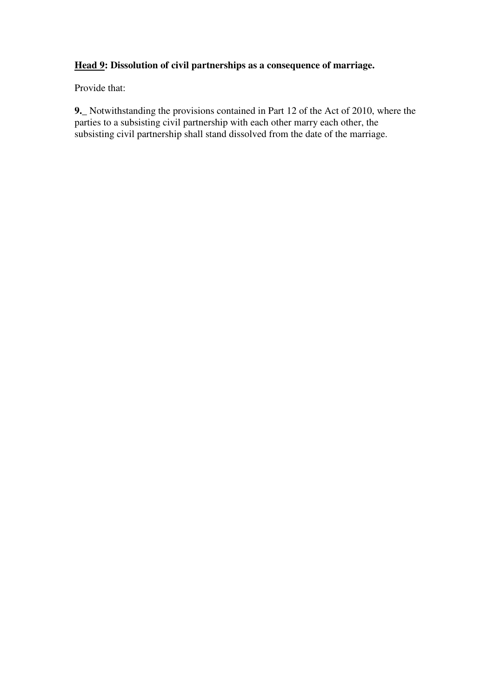## **Head 9: Dissolution of civil partnerships as a consequence of marriage.**

Provide that:

**9.\_** Notwithstanding the provisions contained in Part 12 of the Act of 2010, where the parties to a subsisting civil partnership with each other marry each other, the subsisting civil partnership shall stand dissolved from the date of the marriage.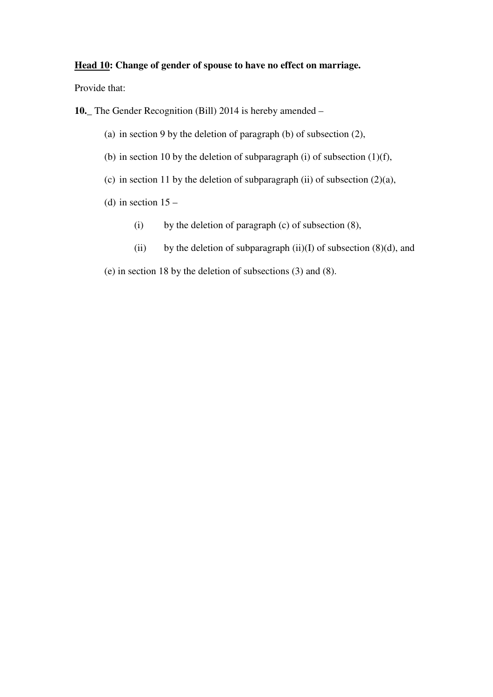#### **Head 10: Change of gender of spouse to have no effect on marriage.**

Provide that:

**10.\_** The Gender Recognition (Bill) 2014 is hereby amended –

- (a) in section 9 by the deletion of paragraph (b) of subsection (2),
- (b) in section 10 by the deletion of subparagraph (i) of subsection  $(1)(f)$ ,
- (c) in section 11 by the deletion of subparagraph (ii) of subsection  $(2)(a)$ ,
- (d) in section  $15 -$ 
	- (i) by the deletion of paragraph (c) of subsection (8),
	- (ii) by the deletion of subparagraph (ii)(I) of subsection  $(8)(d)$ , and

(e) in section 18 by the deletion of subsections (3) and (8).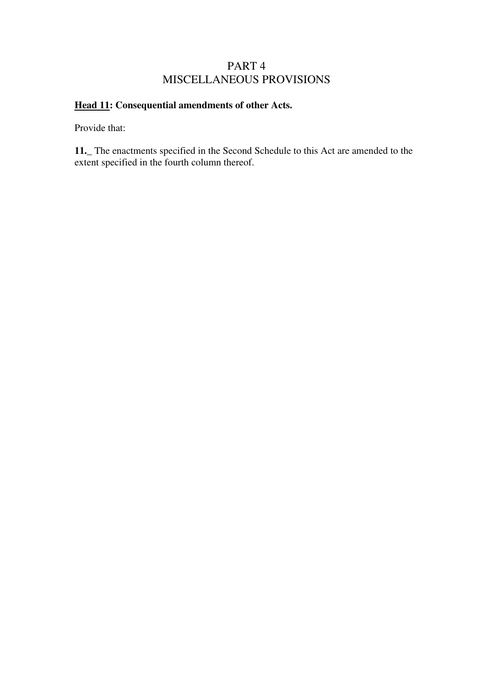## PART 4 MISCELLANEOUS PROVISIONS

## **Head 11: Consequential amendments of other Acts.**

Provide that:

**11.\_** The enactments specified in the Second Schedule to this Act are amended to the extent specified in the fourth column thereof.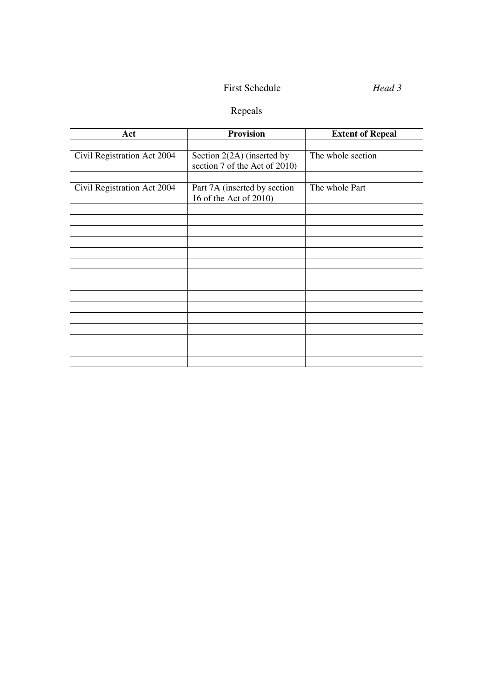## First Schedule *Head 3*

# Repeals

| Act                         | <b>Provision</b>                                            | <b>Extent of Repeal</b> |
|-----------------------------|-------------------------------------------------------------|-------------------------|
|                             |                                                             |                         |
| Civil Registration Act 2004 | Section 2(2A) (inserted by<br>section 7 of the Act of 2010) | The whole section       |
|                             |                                                             |                         |
| Civil Registration Act 2004 | Part 7A (inserted by section<br>16 of the Act of 2010)      | The whole Part          |
|                             |                                                             |                         |
|                             |                                                             |                         |
|                             |                                                             |                         |
|                             |                                                             |                         |
|                             |                                                             |                         |
|                             |                                                             |                         |
|                             |                                                             |                         |
|                             |                                                             |                         |
|                             |                                                             |                         |
|                             |                                                             |                         |
|                             |                                                             |                         |
|                             |                                                             |                         |
|                             |                                                             |                         |
|                             |                                                             |                         |
|                             |                                                             |                         |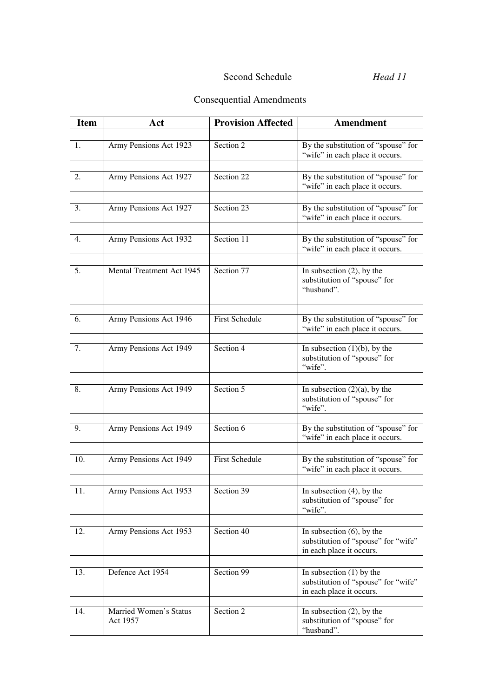# Second Schedule *Head 11*

# Consequential Amendments

| <b>Item</b> | Act                                | <b>Provision Affected</b> | <b>Amendment</b>                                                                                |
|-------------|------------------------------------|---------------------------|-------------------------------------------------------------------------------------------------|
|             |                                    |                           |                                                                                                 |
| 1.          | Army Pensions Act 1923             | Section 2                 | By the substitution of "spouse" for<br>"wife" in each place it occurs.                          |
|             |                                    |                           |                                                                                                 |
| 2.          | Army Pensions Act 1927             | Section 22                | By the substitution of "spouse" for<br>"wife" in each place it occurs.                          |
| 3.          |                                    | Section 23                | By the substitution of "spouse" for                                                             |
|             | Army Pensions Act 1927             |                           | "wife" in each place it occurs.                                                                 |
| 4.          | Army Pensions Act 1932             | Section 11                | By the substitution of "spouse" for                                                             |
|             |                                    |                           | "wife" in each place it occurs.                                                                 |
| 5.          | Mental Treatment Act 1945          | Section 77                |                                                                                                 |
|             |                                    |                           | In subsection $(2)$ , by the<br>substitution of "spouse" for<br>"husband".                      |
|             |                                    |                           |                                                                                                 |
| 6.          | Army Pensions Act 1946             | <b>First Schedule</b>     | By the substitution of "spouse" for<br>"wife" in each place it occurs.                          |
|             | Army Pensions Act 1949             | Section 4                 | In subsection $(1)(b)$ , by the                                                                 |
| 7.          |                                    |                           | substitution of "spouse" for<br>"wife".                                                         |
|             |                                    |                           |                                                                                                 |
| 8.          | Army Pensions Act 1949             | Section 5                 | In subsection $(2)(a)$ , by the<br>substitution of "spouse" for<br>"wife".                      |
|             |                                    |                           |                                                                                                 |
| 9.          | Army Pensions Act 1949             | Section 6                 | By the substitution of "spouse" for<br>"wife" in each place it occurs.                          |
| 10.         | Army Pensions Act 1949             | <b>First Schedule</b>     | By the substitution of "spouse" for                                                             |
|             |                                    |                           | "wife" in each place it occurs.                                                                 |
| 11.         | Army Pensions Act 1953             | Section 39                | In subsection $(4)$ , by the                                                                    |
|             |                                    |                           | substitution of "spouse" for<br>"wife".                                                         |
|             |                                    |                           |                                                                                                 |
| 12.         | Army Pensions Act 1953             | Section 40                | In subsection $(6)$ , by the<br>substitution of "spouse" for "wife"<br>in each place it occurs. |
|             |                                    |                           |                                                                                                 |
| 13.         | Defence Act 1954                   | Section 99                | In subsection $(1)$ by the<br>substitution of "spouse" for "wife"<br>in each place it occurs.   |
|             |                                    |                           |                                                                                                 |
| 14.         | Married Women's Status<br>Act 1957 | Section 2                 | In subsection $(2)$ , by the<br>substitution of "spouse" for<br>"husband".                      |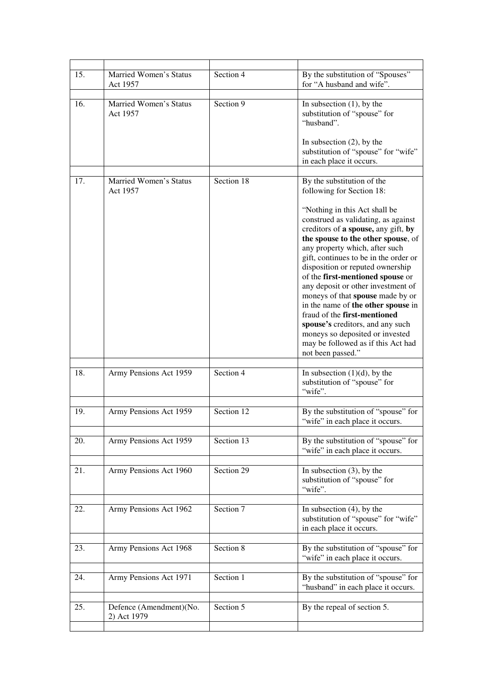| 15. | <b>Married Women's Status</b><br>Act 1957 | Section 4  | By the substitution of "Spouses"<br>for "A husband and wife".                                                                                                                                                                                                                                                                                                                                                                                                                             |
|-----|-------------------------------------------|------------|-------------------------------------------------------------------------------------------------------------------------------------------------------------------------------------------------------------------------------------------------------------------------------------------------------------------------------------------------------------------------------------------------------------------------------------------------------------------------------------------|
| 16. | Married Women's Status<br>Act 1957        | Section 9  | In subsection $(1)$ , by the<br>substitution of "spouse" for<br>"husband".<br>In subsection $(2)$ , by the                                                                                                                                                                                                                                                                                                                                                                                |
|     |                                           |            | substitution of "spouse" for "wife"<br>in each place it occurs.                                                                                                                                                                                                                                                                                                                                                                                                                           |
| 17. | <b>Married Women's Status</b><br>Act 1957 | Section 18 | By the substitution of the<br>following for Section 18:<br>"Nothing in this Act shall be<br>construed as validating, as against                                                                                                                                                                                                                                                                                                                                                           |
|     |                                           |            | creditors of a spouse, any gift, by<br>the spouse to the other spouse, of<br>any property which, after such<br>gift, continues to be in the order or<br>disposition or reputed ownership<br>of the first-mentioned spouse or<br>any deposit or other investment of<br>moneys of that spouse made by or<br>in the name of the other spouse in<br>fraud of the first-mentioned<br>spouse's creditors, and any such<br>moneys so deposited or invested<br>may be followed as if this Act had |
|     |                                           |            | not been passed."                                                                                                                                                                                                                                                                                                                                                                                                                                                                         |
| 18. | Army Pensions Act 1959                    | Section 4  | In subsection $(1)(d)$ , by the<br>substitution of "spouse" for<br>"wife".                                                                                                                                                                                                                                                                                                                                                                                                                |
| 19. | Army Pensions Act 1959                    | Section 12 | By the substitution of "spouse" for<br>"wife" in each place it occurs.                                                                                                                                                                                                                                                                                                                                                                                                                    |
| 20. | Army Pensions Act 1959                    | Section 13 | By the substitution of "spouse" for<br>"wife" in each place it occurs.                                                                                                                                                                                                                                                                                                                                                                                                                    |
| 21. | Army Pensions Act 1960                    | Section 29 | In subsection $(3)$ , by the<br>substitution of "spouse" for<br>"wife".                                                                                                                                                                                                                                                                                                                                                                                                                   |
| 22. | Army Pensions Act 1962                    | Section 7  | In subsection $(4)$ , by the<br>substitution of "spouse" for "wife"<br>in each place it occurs.                                                                                                                                                                                                                                                                                                                                                                                           |
| 23. | Army Pensions Act 1968                    | Section 8  | By the substitution of "spouse" for<br>"wife" in each place it occurs.                                                                                                                                                                                                                                                                                                                                                                                                                    |
| 24. | Army Pensions Act 1971                    | Section 1  | By the substitution of "spouse" for<br>"husband" in each place it occurs.                                                                                                                                                                                                                                                                                                                                                                                                                 |
| 25. | Defence (Amendment)(No.<br>2) Act 1979    | Section 5  | By the repeal of section 5.                                                                                                                                                                                                                                                                                                                                                                                                                                                               |
|     |                                           |            |                                                                                                                                                                                                                                                                                                                                                                                                                                                                                           |